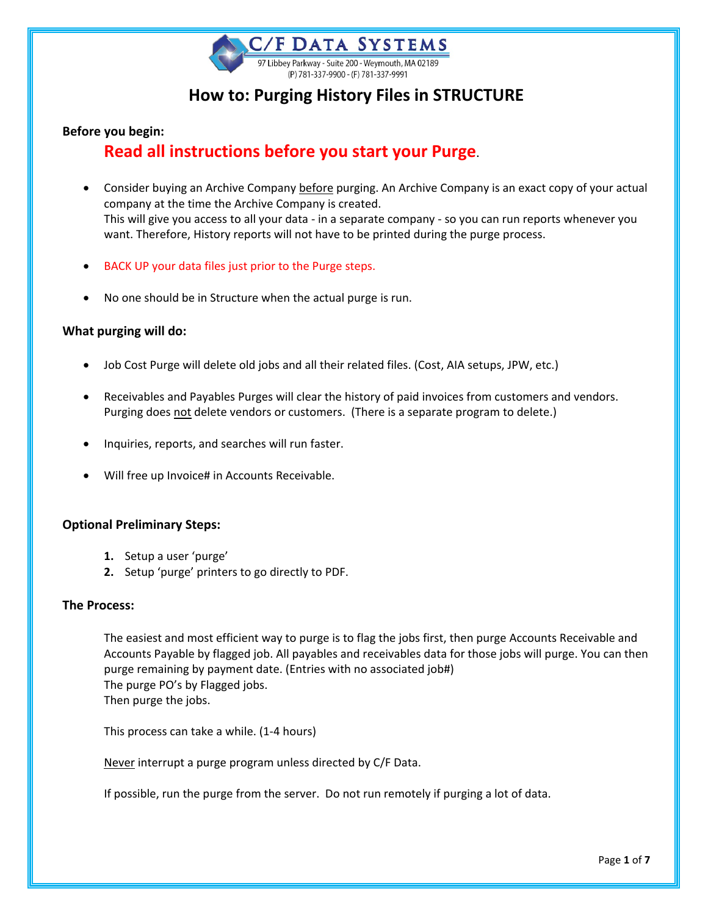

# **How to: Purging History Files in STRUCTURE**

#### **Before you begin:**

# **Read all instructions before you start your Purge**.

- Consider buying an Archive Company before purging. An Archive Company is an exact copy of your actual company at the time the Archive Company is created. This will give you access to all your data - in a separate company - so you can run reports whenever you want. Therefore, History reports will not have to be printed during the purge process.
- BACK UP your data files just prior to the Purge steps.
- No one should be in Structure when the actual purge is run.

#### **What purging will do:**

- Job Cost Purge will delete old jobs and all their related files. (Cost, AIA setups, JPW, etc.)
- Receivables and Payables Purges will clear the history of paid invoices from customers and vendors. Purging does not delete vendors or customers. (There is a separate program to delete.)
- Inquiries, reports, and searches will run faster.
- Will free up Invoice# in Accounts Receivable.

#### **Optional Preliminary Steps:**

- **1.** Setup a user 'purge'
- **2.** Setup 'purge' printers to go directly to PDF.

#### **The Process:**

The easiest and most efficient way to purge is to flag the jobs first, then purge Accounts Receivable and Accounts Payable by flagged job. All payables and receivables data for those jobs will purge. You can then purge remaining by payment date. (Entries with no associated job#) The purge PO's by Flagged jobs. Then purge the jobs.

This process can take a while. (1-4 hours)

Never interrupt a purge program unless directed by C/F Data.

If possible, run the purge from the server. Do not run remotely if purging a lot of data.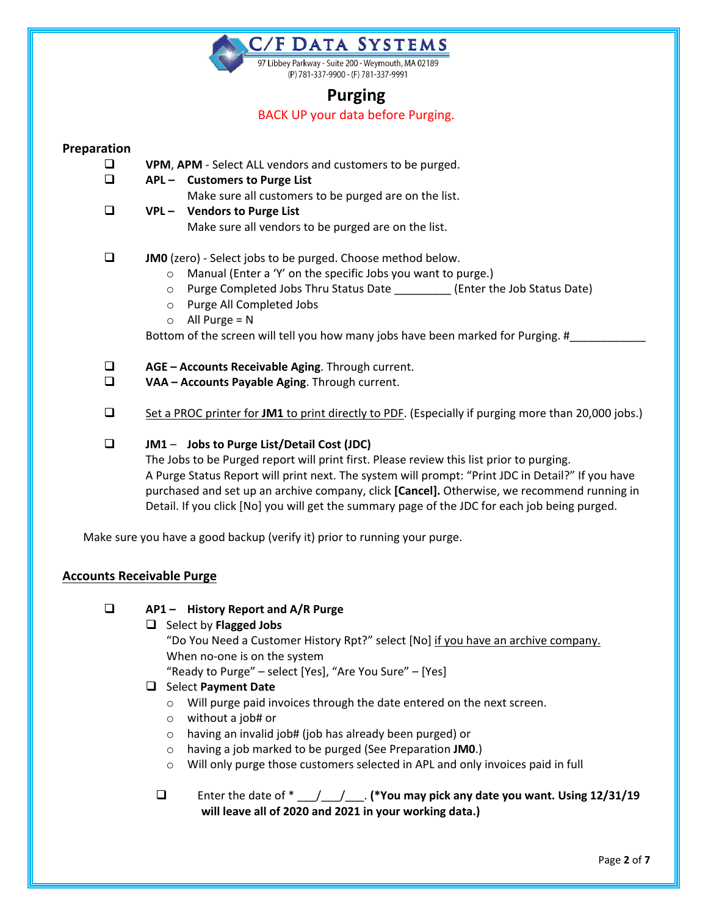C/F DATA SYSTEMS

97 Libbey Parkway - Suite 200 - Weymouth, MA 02189 (P) 781-337-9900 - (F) 781-337-9991

# **Purging**

BACK UP your data before Purging.

## **Preparation**

- **VPM**, **APM** Select ALL vendors and customers to be purged.
- **APL Customers to Purge List**
	- Make sure all customers to be purged are on the list.
- **VPL Vendors to Purge List**
	- Make sure all vendors to be purged are on the list.

# **IMO** (zero) - Select jobs to be purged. Choose method below.

- o Manual (Enter a 'Y' on the specific Jobs you want to purge.)
- o Purge Completed Jobs Thru Status Date \_\_\_\_\_\_\_\_\_ (Enter the Job Status Date)
- o Purge All Completed Jobs
- $\circ$  All Purge = N

Bottom of the screen will tell you how many jobs have been marked for Purging. #\_

- **AGE Accounts Receivable Aging**. Through current.
- **VAA Accounts Payable Aging**. Through current.
- □ Set a PROC printer for JM1 to print directly to PDF. (Especially if purging more than 20,000 jobs.)

# **JM1** – **Jobs to Purge List/Detail Cost (JDC)**

The Jobs to be Purged report will print first. Please review this list prior to purging. A Purge Status Report will print next. The system will prompt: "Print JDC in Detail?" If you have purchased and set up an archive company, click **[Cancel].** Otherwise, we recommend running in Detail. If you click [No] you will get the summary page of the JDC for each job being purged.

Make sure you have a good backup (verify it) prior to running your purge.

# **Accounts Receivable Purge**

**AP1 – History Report and A/R Purge**

## □ Select by **Flagged Jobs**

"Do You Need a Customer History Rpt?" select [No] if you have an archive company. When no-one is on the system

"Ready to Purge" – select [Yes], "Are You Sure" – [Yes]

## Select **Payment Date**

- o Will purge paid invoices through the date entered on the next screen.
- o without a job# or
- o having an invalid job# (job has already been purged) or
- o having a job marked to be purged (See Preparation **JM0**.)
- $\circ$  Will only purge those customers selected in APL and only invoices paid in full

# Enter the date of \*  $\left($  /  $\right)$  (\*You may pick any date you want. Using 12/31/19 **will leave all of 2020 and 2021 in your working data.)**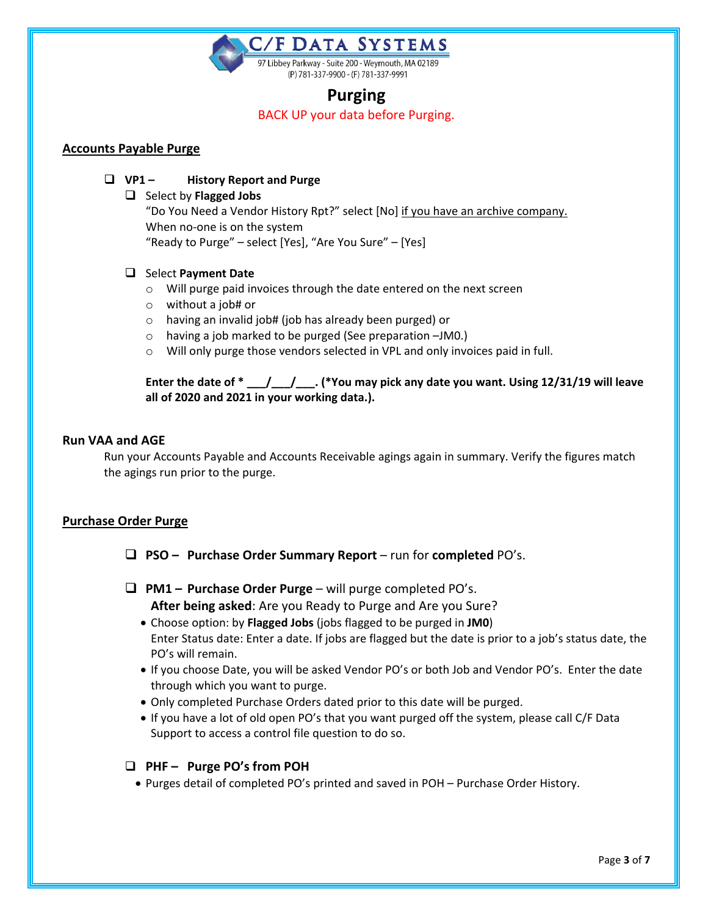**THE DATA SYSTEMS** 97 Libbey Parkway - Suite 200 - Weymouth, MA 02189 (P) 781-337-9900 - (F) 781-337-9991

# **Purging**

BACK UP your data before Purging.

### **Accounts Payable Purge**

- **VP1 History Report and Purge**
	- □ Select by **Flagged Jobs** "Do You Need a Vendor History Rpt?" select [No] if you have an archive company. When no-one is on the system "Ready to Purge" – select [Yes], "Are You Sure" – [Yes]

#### Select **Payment Date**

- o Will purge paid invoices through the date entered on the next screen
- o without a job# or
- o having an invalid job# (job has already been purged) or
- o having a job marked to be purged (See preparation –JM0.)
- o Will only purge those vendors selected in VPL and only invoices paid in full.

**Enter the date of \* \_\_\_/\_\_\_/\_\_\_. (\*You may pick any date you want. Using 12/31/19 will leave all of 2020 and 2021 in your working data.).** 

#### **Run VAA and AGE**

Run your Accounts Payable and Accounts Receivable agings again in summary. Verify the figures match the agings run prior to the purge.

## **Purchase Order Purge**

- **PSO Purchase Order Summary Report** run for **completed** PO's.
- **PM1 Purchase Order Purge** will purge completed PO's. **After being asked**: Are you Ready to Purge and Are you Sure?
	- Choose option: by **Flagged Jobs** (jobs flagged to be purged in **JM0**) Enter Status date: Enter a date. If jobs are flagged but the date is prior to a job's status date, the PO's will remain.
	- If you choose Date, you will be asked Vendor PO's or both Job and Vendor PO's. Enter the date through which you want to purge.
	- Only completed Purchase Orders dated prior to this date will be purged.
	- If you have a lot of old open PO's that you want purged off the system, please call C/F Data Support to access a control file question to do so.

## **PHF – Purge PO's from POH**

• Purges detail of completed PO's printed and saved in POH – Purchase Order History.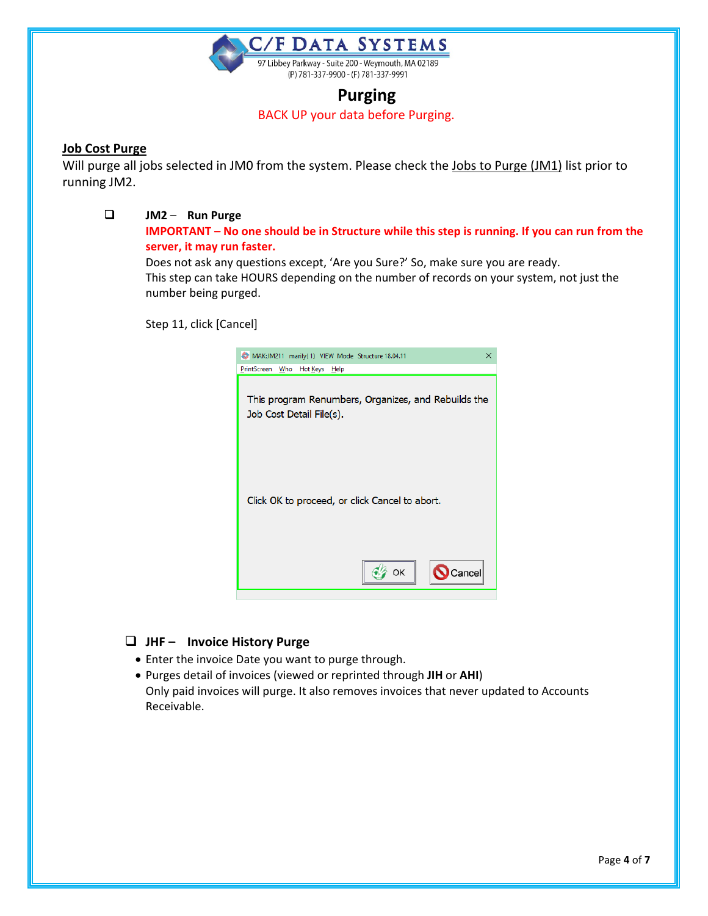

# **Purging**

BACK UP your data before Purging.

### **Job Cost Purge**

Will purge all jobs selected in JM0 from the system. Please check the Jobs to Purge (JM1) list prior to running JM2.

### **JM2** – **Run Purge**

**IMPORTANT – No one should be in Structure while this step is running. If you can run from the server, it may run faster.** 

Does not ask any questions except, 'Are you Sure?' So, make sure you are ready. This step can take HOURS depending on the number of records on your system, not just the number being purged.

Step 11, click [Cancel]



# **JHF – Invoice History Purge**

- Enter the invoice Date you want to purge through.
- Purges detail of invoices (viewed or reprinted through **JIH** or **AHI**) Only paid invoices will purge. It also removes invoices that never updated to Accounts Receivable.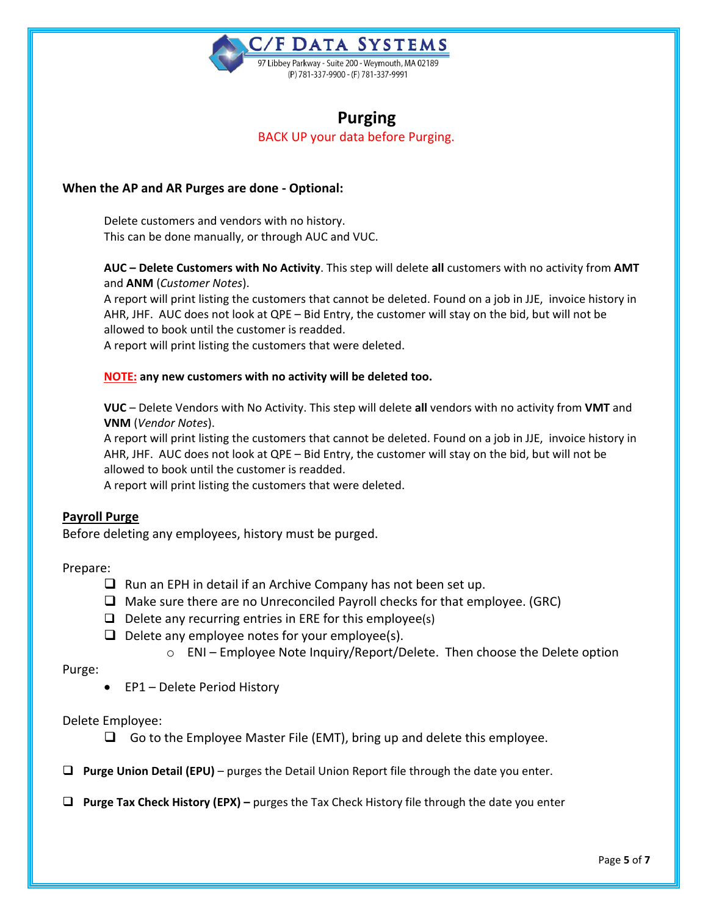

# **Purging** BACK UP your data before Purging.

### **When the AP and AR Purges are done - Optional:**

Delete customers and vendors with no history. This can be done manually, or through AUC and VUC.

**AUC – Delete Customers with No Activity**. This step will delete **all** customers with no activity from **AMT** and **ANM** (*Customer Notes*).

A report will print listing the customers that cannot be deleted. Found on a job in JJE, invoice history in AHR, JHF. AUC does not look at QPE – Bid Entry, the customer will stay on the bid, but will not be allowed to book until the customer is readded.

A report will print listing the customers that were deleted.

#### **NOTE: any new customers with no activity will be deleted too.**

**VUC** – Delete Vendors with No Activity. This step will delete **all** vendors with no activity from **VMT** and **VNM** (*Vendor Notes*).

A report will print listing the customers that cannot be deleted. Found on a job in JJE, invoice history in AHR, JHF. AUC does not look at QPE – Bid Entry, the customer will stay on the bid, but will not be allowed to book until the customer is readded.

A report will print listing the customers that were deleted.

#### **Payroll Purge**

Before deleting any employees, history must be purged.

Prepare:

- $\Box$  Run an EPH in detail if an Archive Company has not been set up.
- $\Box$  Make sure there are no Unreconciled Payroll checks for that employee. (GRC)
- $\Box$  Delete any recurring entries in ERE for this employee(s)
- $\Box$  Delete any employee notes for your employee(s).
	- $\circ$  ENI Employee Note Inquiry/Report/Delete. Then choose the Delete option

Purge:

• EP1 – Delete Period History

Delete Employee:

- $\Box$  Go to the Employee Master File (EMT), bring up and delete this employee.
- **Purge Union Detail (EPU)** purges the Detail Union Report file through the date you enter.
- **Purge Tax Check History (EPX) –** purges the Tax Check History file through the date you enter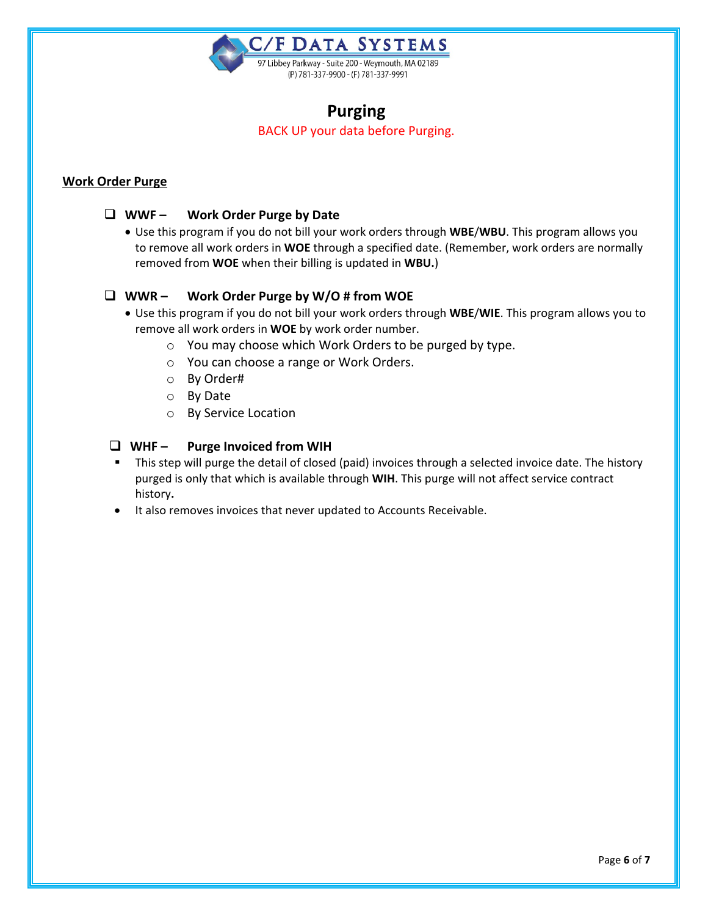

# **Purging**

BACK UP your data before Purging.

## **Work Order Purge**

## **WWF – Work Order Purge by Date**

• Use this program if you do not bill your work orders through **WBE**/**WBU**. This program allows you to remove all work orders in **WOE** through a specified date. (Remember, work orders are normally removed from **WOE** when their billing is updated in **WBU.**)

## **WWR – Work Order Purge by W/O # from WOE**

- Use this program if you do not bill your work orders through **WBE**/**WIE**. This program allows you to remove all work orders in **WOE** by work order number.
	- o You may choose which Work Orders to be purged by type.
	- o You can choose a range or Work Orders.
	- o By Order#
	- o By Date
	- o By Service Location

### **WHF – Purge Invoiced from WIH**

- This step will purge the detail of closed (paid) invoices through a selected invoice date. The history purged is only that which is available through **WIH**. This purge will not affect service contract history**.**
- It also removes invoices that never updated to Accounts Receivable.